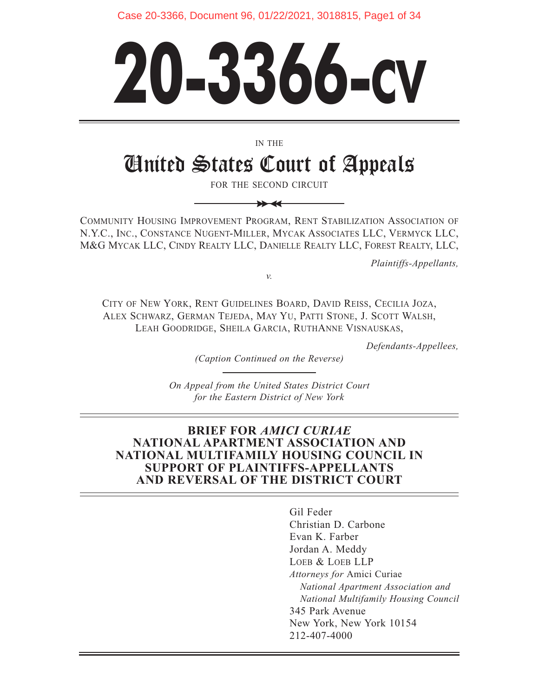Case 20-3366, Document 96, 01/22/2021, 3018815, Page1 of 34

# **20-3366-CV**

IN THE

# United States Court of Appeals

FOR THE SECOND CIRCUIT

 $\rightarrow$ 

COMMUNITY HOUSING IMPROVEMENT PROGRAM, RENT STABILIZATION ASSOCIATION OF N.Y.C., INC., CONSTANCE NUGENT-MILLER, MYCAK ASSOCIATES LLC, VERMYCK LLC, M&G MYCAK LLC, CINDY REALTY LLC, DANIELLE REALTY LLC, FOREST REALTY, LLC,

*Plaintiffs-Appellants,* 

CITY OF NEW YORK, RENT GUIDELINES BOARD, DAVID REISS, CECILIA JOZA, ALEX SCHWARZ, GERMAN TEJEDA, MAY YU, PATTI STONE, J. SCOTT WALSH, LEAH GOODRIDGE, SHEILA GARCIA, RUTHANNE VISNAUSKAS,

*v.* 

*Defendants-Appellees,* 

*(Caption Continued on the Reverse)*

*On Appeal from the United States District Court for the Eastern District of New York*

### **BRIEF FOR** *AMICI CURIAE*  **NATIONAL APARTMENT ASSOCIATION AND NATIONAL MULTIFAMILY HOUSING COUNCIL IN SUPPORT OF PLAINTIFFS-APPELLANTS AND REVERSAL OF THE DISTRICT COURT**

Gil Feder Christian D. Carbone Evan K. Farber Jordan A. Meddy LOEB & LOEB LLP *Attorneys for* Amici Curiae *National Apartment Association and National Multifamily Housing Council*  345 Park Avenue New York, New York 10154 212-407-4000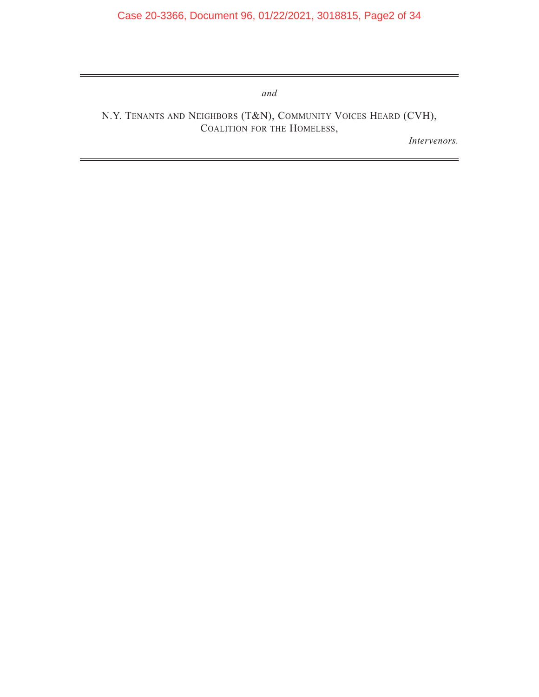*and* 

N.Y. TENANTS AND NEIGHBORS (T&N), COMMUNITY VOICES HEARD (CVH), COALITION FOR THE HOMELESS,

*Intervenors.*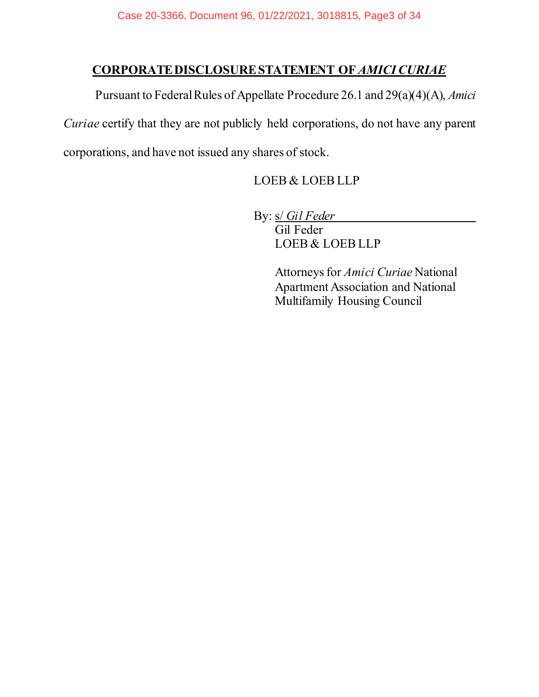# **CORPORATE DISCLOSURE STATEMENT OF** *AMICICURIAE*

Pursuant to Federal Rules of Appellate Procedure 26.1 and 29(a)(4)(A), *Amici Curiae* certify that they are not publicly held corporations, do not have any parent corporations, and have not issued any shares of stock.

LOEB & LOEB LLP

By: s/ *Gil Feder*

Gil Feder LOEB & LOEB LLP

Attorneys for *Amici Curiae* National Apartment Association and National Multifamily Housing Council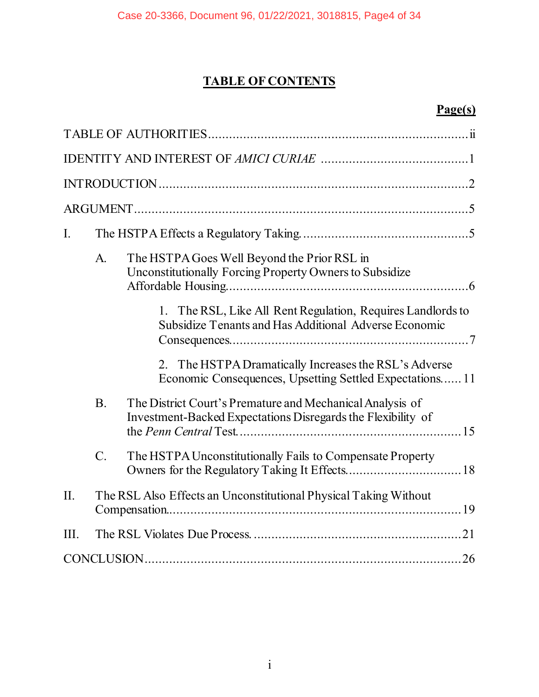# **TABLE OF CONTENTS**

# **Page(s)**

| I.   |           |                                                                                                                           |  |
|------|-----------|---------------------------------------------------------------------------------------------------------------------------|--|
|      | A.        | The HSTPA Goes Well Beyond the Prior RSL in<br>Unconstitutionally Forcing Property Owners to Subsidize                    |  |
|      |           | The RSL, Like All Rent Regulation, Requires Landlords to<br>1.<br>Subsidize Tenants and Has Additional Adverse Economic   |  |
|      |           | 2. The HSTPA Dramatically Increases the RSL's Adverse<br>Economic Consequences, Upsetting Settled Expectations 11         |  |
|      | <b>B.</b> | The District Court's Premature and Mechanical Analysis of<br>Investment-Backed Expectations Disregards the Flexibility of |  |
|      | $C$ .     | The HSTPA Unconstitutionally Fails to Compensate Property                                                                 |  |
| II.  |           | The RSL Also Effects an Unconstitutional Physical Taking Without                                                          |  |
| III. |           |                                                                                                                           |  |
|      |           |                                                                                                                           |  |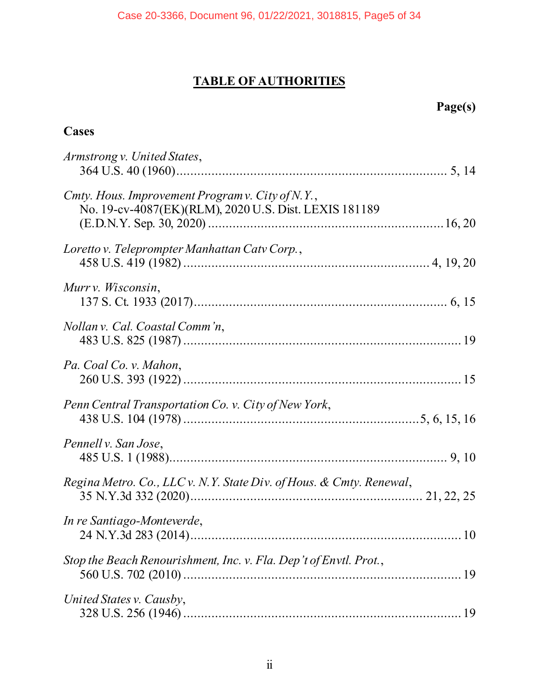# **TABLE OF AUTHORITIES**

| ٠<br>ïΩ<br>۱U<br>۰ |  |
|--------------------|--|
|                    |  |

# <span id="page-4-0"></span>**Cases**

| Armstrong v. United States,                                                                               |
|-----------------------------------------------------------------------------------------------------------|
| Cmty. Hous. Improvement Program v. City of N.Y.,<br>No. 19-cv-4087(EK)(RLM), 2020 U.S. Dist. LEXIS 181189 |
| Loretto v. Teleprompter Manhattan Catv Corp.,                                                             |
| Murry. Wisconsin,                                                                                         |
| Nollan v. Cal. Coastal Comm'n,                                                                            |
| Pa. Coal Co. v. Mahon,                                                                                    |
| Penn Central Transportation Co. v. City of New York,                                                      |
| Pennell v. San Jose,                                                                                      |
| Regina Metro. Co., LLC v. N.Y. State Div. of Hous. & Cmty. Renewal,                                       |
| In re Santiago-Monteverde,                                                                                |
| Stop the Beach Renourishment, Inc. v. Fla. Dep't of Envtl. Prot.,                                         |
| United States v. Causby,                                                                                  |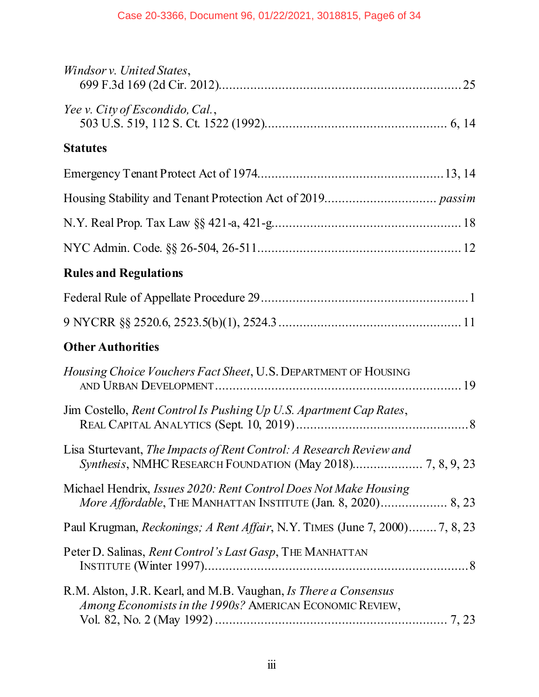| Windsor v. United States,                                                                                                                |
|------------------------------------------------------------------------------------------------------------------------------------------|
| Yee v. City of Escondido, Cal.,                                                                                                          |
| <b>Statutes</b>                                                                                                                          |
|                                                                                                                                          |
|                                                                                                                                          |
|                                                                                                                                          |
|                                                                                                                                          |
| <b>Rules and Regulations</b>                                                                                                             |
|                                                                                                                                          |
|                                                                                                                                          |
| <b>Other Authorities</b>                                                                                                                 |
| Housing Choice Vouchers Fact Sheet, U.S. DEPARTMENT OF HOUSING                                                                           |
| Jim Costello, Rent Control Is Pushing Up U.S. Apartment Cap Rates,                                                                       |
| Lisa Sturtevant, The Impacts of Rent Control: A Research Review and                                                                      |
| Michael Hendrix, <i>Issues 2020: Rent Control Does Not Make Housing</i><br>More Affordable, THE MANHATTAN INSTITUTE (Jan. 8, 2020) 8, 23 |
| Paul Krugman, Reckonings; A Rent Affair, N.Y. TIMES (June 7, 2000) 7, 8, 23                                                              |
| Peter D. Salinas, Rent Control's Last Gasp, THE MANHATTAN                                                                                |
| R.M. Alston, J.R. Kearl, and M.B. Vaughan, Is There a Consensus<br>Among Economists in the 1990s? AMERICAN ECONOMIC REVIEW,              |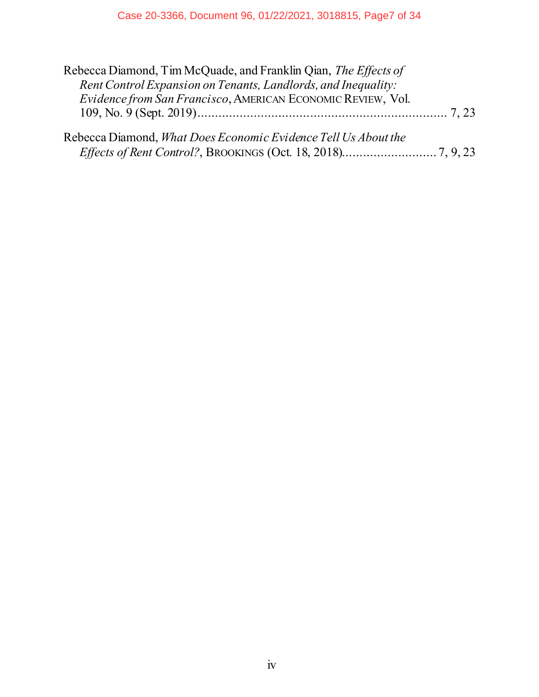| Rebecca Diamond, Tim McQuade, and Franklin Qian, The Effects of<br>Rent Control Expansion on Tenants, Landlords, and Inequality:<br>Evidence from San Francisco, AMERICAN ECONOMIC REVIEW, Vol. |  |
|-------------------------------------------------------------------------------------------------------------------------------------------------------------------------------------------------|--|
|                                                                                                                                                                                                 |  |
| Rebecca Diamond, <i>What Does Economic Evidence Tell Us About the</i>                                                                                                                           |  |
|                                                                                                                                                                                                 |  |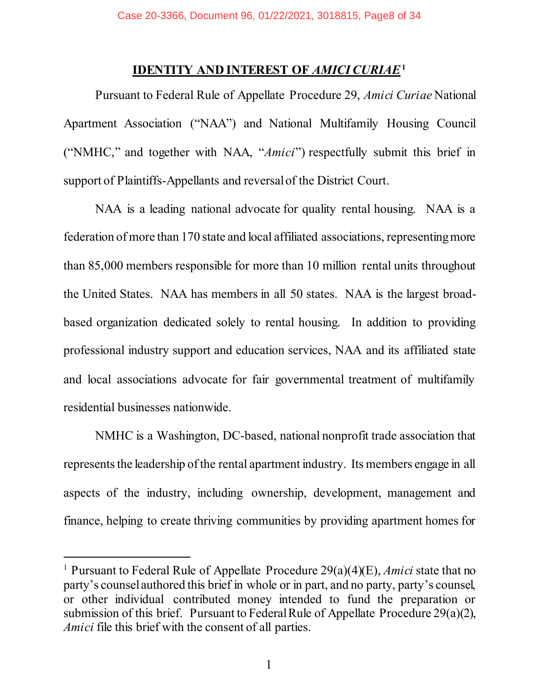### <span id="page-7-1"></span>**IDENTITY AND INTEREST OF** *AMICI CURIAE***<sup>1</sup>**

<span id="page-7-0"></span>Pursuant to Federal Rule of Appellate Procedure 29, *Amici Curiae* National Apartment Association ("NAA") and National Multifamily Housing Council ("NMHC," and together with NAA, "*Amici*") respectfully submit this brief in support of Plaintiffs-Appellants and reversal of the District Court.

NAA is a leading national advocate for quality rental housing. NAA is a federation of more than 170 state and local affiliated associations, representing more than 85,000 members responsible for more than 10 million rental units throughout the United States. NAA has members in all 50 states. NAA is the largest broadbased organization dedicated solely to rental housing. In addition to providing professional industry support and education services, NAA and its affiliated state and local associations advocate for fair governmental treatment of multifamily residential businesses nationwide.

NMHC is a Washington, DC-based, national nonprofit trade association that represents the leadership of the rental apartment industry. Its members engage in all aspects of the industry, including ownership, development, management and finance, helping to create thriving communities by providing apartment homes for

<sup>1</sup> Pursuant to Federal Rule of Appellate Procedure 29(a)(4)(E), *Amici* state that no party's counsel authored this brief in whole or in part, and no party, party's counsel, or other individual contributed money intended to fund the preparation or submission of this brief. Pursuant to Federal Rule of Appellate Procedure 29(a)(2), *Amici* file this brief with the consent of all parties.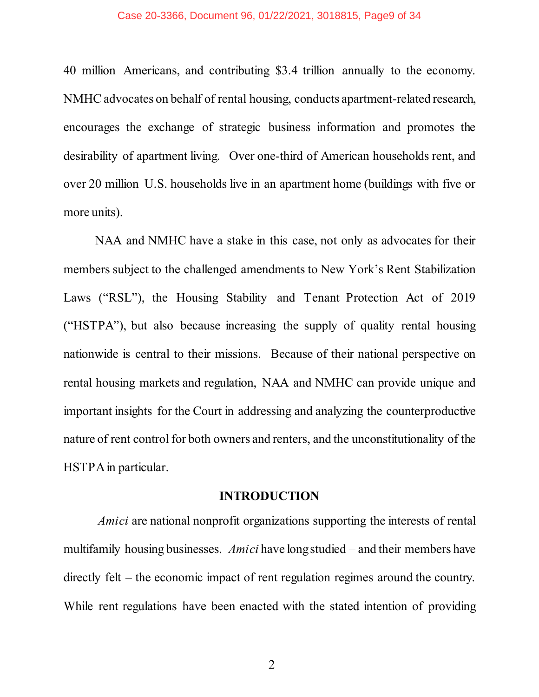### Case 20-3366, Document 96, 01/22/2021, 3018815, Page9 of 34

40 million Americans, and contributing \$3.4 trillion annually to the economy. NMHC advocates on behalf of rental housing, conducts apartment-related research, encourages the exchange of strategic business information and promotes the desirability of apartment living. Over one-third of American households rent, and over 20 million U.S. households live in an apartment home (buildings with five or more units).

NAA and NMHC have a stake in this case, not only as advocates for their members subject to the challenged amendments to New York's Rent Stabilization Laws ("RSL"), the Housing Stability and Tenant Protection Act of 2019 ("HSTPA"), but also because increasing the supply of quality rental housing nationwide is central to their missions. Because of their national perspective on rental housing markets and regulation, NAA and NMHC can provide unique and important insights for the Court in addressing and analyzing the counterproductive nature of rent control for both owners and renters, and the unconstitutionality of the HSTPA in particular.

### **INTRODUCTION**

<span id="page-8-0"></span>*Amici* are national nonprofit organizations supporting the interests of rental multifamily housing businesses. *Amici* have long studied – and their members have directly felt – the economic impact of rent regulation regimes around the country. While rent regulations have been enacted with the stated intention of providing

2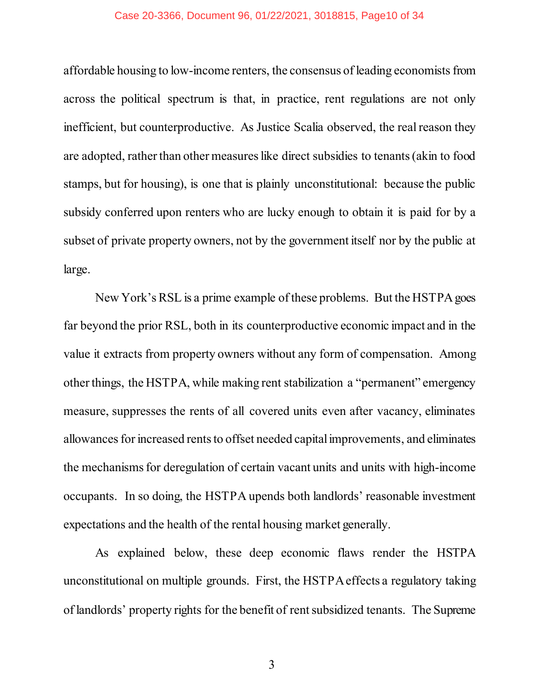### Case 20-3366, Document 96, 01/22/2021, 3018815, Page10 of 34

affordable housing to low-income renters, the consensus of leading economists from across the political spectrum is that, in practice, rent regulations are not only inefficient, but counterproductive. As Justice Scalia observed, the real reason they are adopted, rather than other measures like direct subsidies to tenants (akin to food stamps, but for housing), is one that is plainly unconstitutional: because the public subsidy conferred upon renters who are lucky enough to obtain it is paid for by a subset of private property owners, not by the government itself nor by the public at large.

New York's RSL is a prime example of these problems. But the HSTPAgoes far beyond the prior RSL, both in its counterproductive economic impact and in the value it extracts from property owners without any form of compensation. Among other things, the HSTPA, while making rent stabilization a "permanent" emergency measure, suppresses the rents of all covered units even after vacancy, eliminates allowances for increased rents to offset needed capital improvements, and eliminates the mechanisms for deregulation of certain vacant units and units with high-income occupants. In so doing, the HSTPA upends both landlords' reasonable investment expectations and the health of the rental housing market generally.

As explained below, these deep economic flaws render the HSTPA unconstitutional on multiple grounds. First, the HSTPA effects a regulatory taking of landlords' property rights for the benefit of rent subsidized tenants. The Supreme

3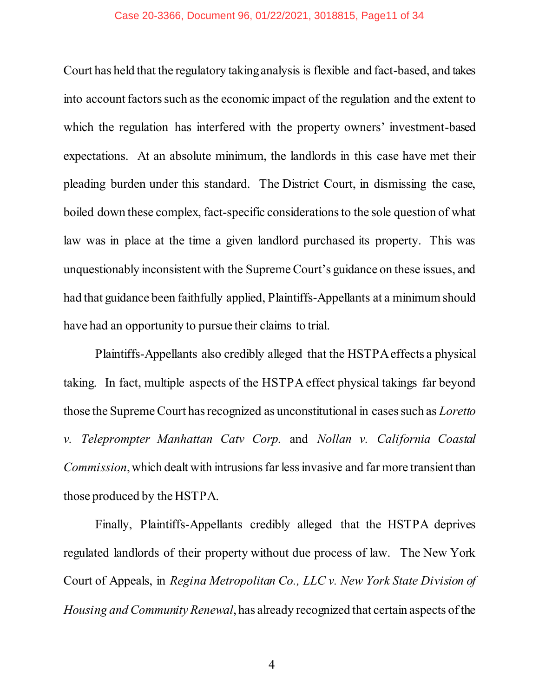### Case 20-3366, Document 96, 01/22/2021, 3018815, Page11 of 34

Court has held that the regulatory taking analysis is flexible and fact-based, and takes into account factors such as the economic impact of the regulation and the extent to which the regulation has interfered with the property owners' investment-based expectations. At an absolute minimum, the landlords in this case have met their pleading burden under this standard. The District Court, in dismissing the case, boiled down these complex, fact-specific considerations to the sole question of what law was in place at the time a given landlord purchased its property. This was unquestionably inconsistent with the Supreme Court's guidance on these issues, and had that guidance been faithfully applied, Plaintiffs-Appellants at a minimum should have had an opportunity to pursue their claims to trial.

<span id="page-10-0"></span>Plaintiffs-Appellants also credibly alleged that the HSTPA effects a physical taking. In fact, multiple aspects of the HSTPA effect physical takings far beyond those the Supreme Court has recognized as unconstitutional in cases such as *Loretto v. Teleprompter Manhattan Catv Corp.* and *Nollan v. California Coastal Commission*, which dealt with intrusions far less invasive and far more transient than those produced by the HSTPA.

Finally, Plaintiffs-Appellants credibly alleged that the HSTPA deprives regulated landlords of their property without due process of law. The New York Court of Appeals, in *Regina Metropolitan Co., LLC v. New York State Division of Housing and Community Renewal*, has already recognized that certain aspects of the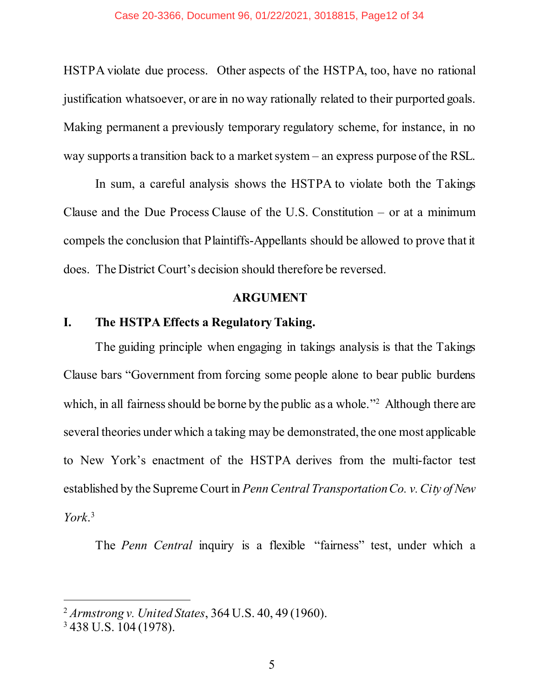HSTPA violate due process. Other aspects of the HSTPA, too, have no rational justification whatsoever, or are in no way rationally related to their purported goals. Making permanent a previously temporary regulatory scheme, for instance, in no way supports a transition back to a market system – an express purpose of the RSL.

In sum, a careful analysis shows the HSTPA to violate both the Takings Clause and the Due Process Clause of the U.S. Constitution – or at a minimum compels the conclusion that Plaintiffs-Appellants should be allowed to prove that it does. The District Court's decision should therefore be reversed.

### **ARGUMENT**

### <span id="page-11-1"></span><span id="page-11-0"></span>**I. The HSTPA Effects a Regulatory Taking.**

The guiding principle when engaging in takings analysis is that the Takings Clause bars "Government from forcing some people alone to bear public burdens which, in all fairness should be borne by the public as a whole."<sup>2</sup> Although there are several theories under which a taking may be demonstrated, the one most applicable to New York's enactment of the HSTPA derives from the multi-factor test established by the Supreme Court in *Penn Central TransportationCo. v. City of New York*. 3

<span id="page-11-3"></span>The *Penn Central* inquiry is a flexible "fairness" test, under which a

<span id="page-11-2"></span><sup>2</sup> *Armstrong v. United States*, 364 U.S. 40, 49 (1960).

<sup>3</sup> 438 U.S. 104 (1978).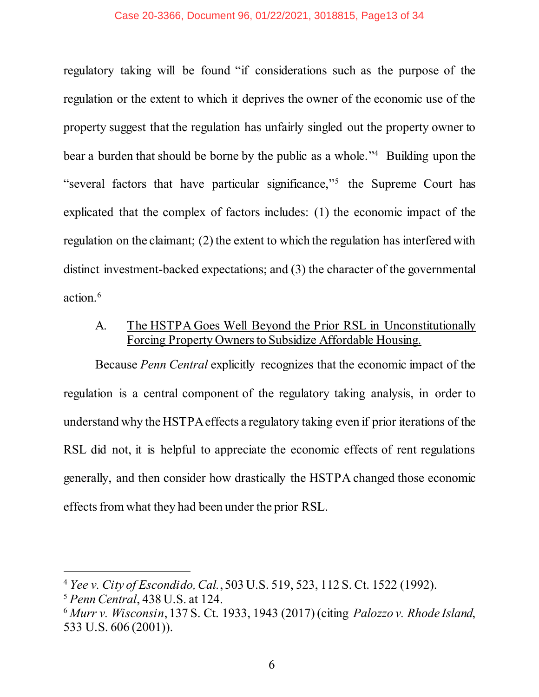### Case 20-3366, Document 96, 01/22/2021, 3018815, Page13 of 34

regulatory taking will be found "if considerations such as the purpose of the regulation or the extent to which it deprives the owner of the economic use of the property suggest that the regulation has unfairly singled out the property owner to bear a burden that should be borne by the public as a whole."<sup>4</sup> Building upon the "several factors that have particular significance,"<sup>5</sup> the Supreme Court has explicated that the complex of factors includes: (1) the economic impact of the regulation on the claimant; (2) the extent to which the regulation has interfered with distinct investment-backed expectations; and (3) the character of the governmental action.6

### <span id="page-12-0"></span>A. The HSTPA Goes Well Beyond the Prior RSL in Unconstitutionally Forcing Property Owners to Subsidize Affordable Housing.

Because *Penn Central* explicitly recognizes that the economic impact of the regulation is a central component of the regulatory taking analysis, in order to understand why the HSTPA effects a regulatory taking even if prior iterations of the RSL did not, it is helpful to appreciate the economic effects of rent regulations generally, and then consider how drastically the HSTPA changed those economic effects from what they had been under the prior RSL.

<span id="page-12-3"></span><sup>4</sup> *Yee v. City of Escondido, Cal.*, 503 U.S. 519, 523, 112 S. Ct. 1522 (1992).

<span id="page-12-2"></span><sup>5</sup> *Penn Central*, 438 U.S. at 124.

<span id="page-12-1"></span><sup>6</sup> *Murr v. Wisconsin*, 137 S. Ct. 1933, 1943 (2017) (citing *Palozzo v. Rhode Island*, 533 U.S. 606 (2001)).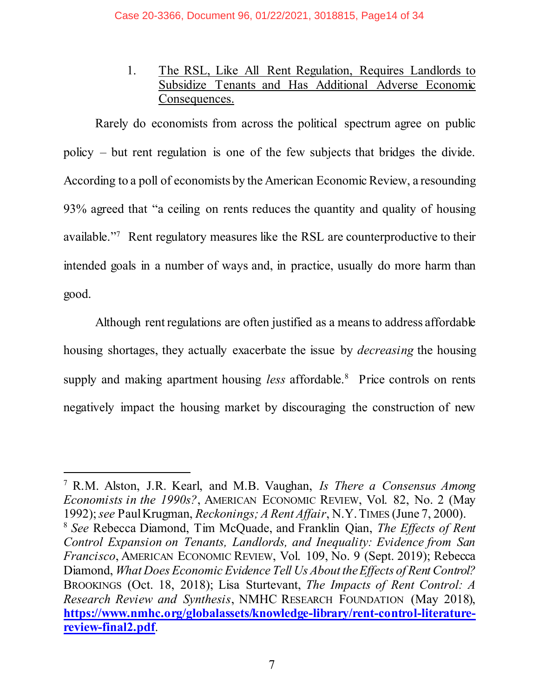1. The RSL, Like All Rent Regulation, Requires Landlords to Subsidize Tenants and Has Additional Adverse Economic Consequences.

<span id="page-13-0"></span>Rarely do economists from across the political spectrum agree on public policy – but rent regulation is one of the few subjects that bridges the divide. According to a poll of economists by the American Economic Review, a resounding 93% agreed that "a ceiling on rents reduces the quantity and quality of housing available."7 Rent regulatory measures like the RSL are counterproductive to their intended goals in a number of ways and, in practice, usually do more harm than good.

Although rent regulations are often justified as a means to address affordable housing shortages, they actually exacerbate the issue by *decreasing* the housing supply and making apartment housing *less* affordable.<sup>8</sup> Price controls on rents negatively impact the housing market by discouraging the construction of new

<span id="page-13-4"></span><span id="page-13-3"></span><span id="page-13-2"></span><span id="page-13-1"></span><sup>7</sup> R.M. Alston, J.R. Kearl, and M.B. Vaughan, *Is There a Consensus Among Economists in the 1990s?*, AMERICAN ECONOMIC REVIEW, Vol. 82, No. 2 (May 1992); *see* Paul Krugman, *Reckonings; A Rent Affair*, N.Y.TIMES (June 7, 2000). <sup>8</sup> *See* Rebecca Diamond, Tim McQuade, and Franklin Qian, *The Effects of Rent Control Expansion on Tenants, Landlords, and Inequality: Evidence from San Francisco*, AMERICAN ECONOMIC REVIEW, Vol. 109, No. 9 (Sept. 2019); Rebecca Diamond, *What Does Economic Evidence Tell Us About theEffects of Rent Control?* BROOKINGS (Oct. 18, 2018); Lisa Sturtevant, *The Impacts of Rent Control: A Research Review and Synthesis*, NMHC RESEARCH FOUNDATION (May 2018), **[https://www.nmhc.org/globalassets/knowledge-library/rent-control-literature](https://www.nmhc.org/globalassets/knowledge-library/rent-control-literature-review-final2.pdf)[review-final2.pdf](https://www.nmhc.org/globalassets/knowledge-library/rent-control-literature-review-final2.pdf)**.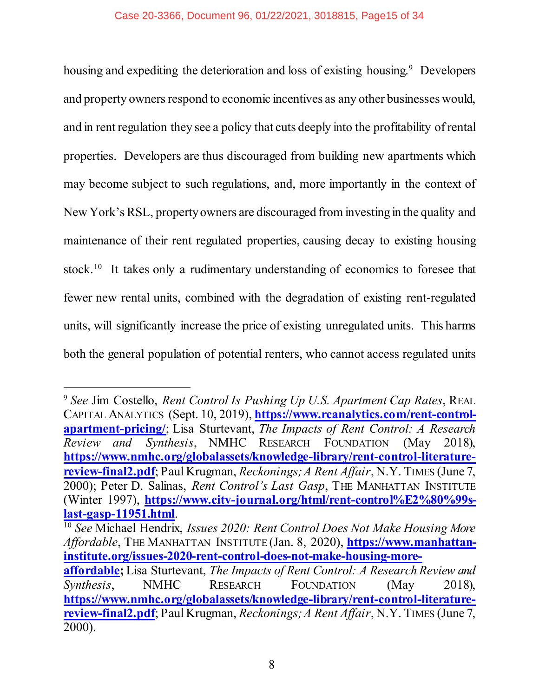housing and expediting the deterioration and loss of existing housing.<sup>9</sup> Developers and property owners respond to economic incentives as any other businesses would, and in rent regulation they see a policy that cuts deeply into the profitability of rental properties. Developers are thus discouraged from building new apartments which may become subject to such regulations, and, more importantly in the context of New York's RSL, property owners are discouraged from investing in the quality and maintenance of their rent regulated properties, causing decay to existing housing stock.10 It takes only a rudimentary understanding of economics to foresee that fewer new rental units, combined with the degradation of existing rent-regulated units, will significantly increase the price of existing unregulated units. This harms both the general population of potential renters, who cannot access regulated units

<span id="page-14-2"></span><span id="page-14-0"></span><sup>9</sup> *See* Jim Costello, *Rent Control Is Pushing Up U.S. Apartment Cap Rates*, REAL CAPITAL ANALYTICS (Sept. 10, 2019), **[https://www.rcanalytics.com/rent-control](https://www.rcanalytics.com/rent-control-apartment-pricing/)[apartment-pricing/](https://www.rcanalytics.com/rent-control-apartment-pricing/)**; Lisa Sturtevant, *The Impacts of Rent Control: A Research Review and Synthesis*, NMHC RESEARCH FOUNDATION (May 2018), **[https://www.nmhc.org/globalassets/knowledge-library/rent-control-literature](https://www.nmhc.org/globalassets/knowledge-library/rent-control-literature-review-final2.pdf)[review-final2.pdf](https://www.nmhc.org/globalassets/knowledge-library/rent-control-literature-review-final2.pdf)**; Paul Krugman, *Reckonings; A Rent Affair*, N.Y. TIMES (June 7, 2000); Peter D. Salinas, *Rent Control's Last Gasp*, THE MANHATTAN INSTITUTE (Winter 1997), **[https://www.city-journal.org/html/rent-control%E2%80%99s](https://www.city-journal.org/html/rent-control%E2%80%99s-last-gasp-11951.html)[last-gasp-11951.html](https://www.city-journal.org/html/rent-control%E2%80%99s-last-gasp-11951.html)**. <sup>10</sup> *See* Michael Hendrix, *Issues 2020: Rent Control Does Not Make Housing More Affordable*, THE MANHATTAN INSTITUTE (Jan. 8, 2020), **[https://www.manhattan](https://www.manhattan-institute.org/issues-2020-rent-control-does-not-make-housing-more-affordable)[institute.org/issues-2020-rent-control-does-not-make-housing-more](https://www.manhattan-institute.org/issues-2020-rent-control-does-not-make-housing-more-affordable)[affordable](https://www.manhattan-institute.org/issues-2020-rent-control-does-not-make-housing-more-affordable);** Lisa Sturtevant, *The Impacts of Rent Control: A Research Review and Synthesis*, NMHC RESEARCH FOUNDATION (May 2018), **[https://www.nmhc.org/globalassets/knowledge-library/rent-control-literature-](https://www.nmhc.org/globalassets/knowledge-library/rent-control-literature-review-final2.pdf)**

<span id="page-14-1"></span>**[review-final2.pdf](https://www.nmhc.org/globalassets/knowledge-library/rent-control-literature-review-final2.pdf)**; Paul Krugman, *Reckonings; A Rent Affair*, N.Y. TIMES (June 7, 2000).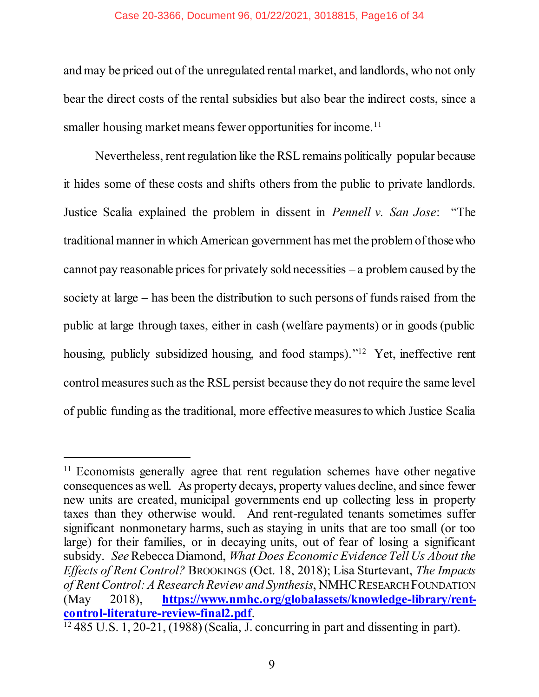### Case 20-3366, Document 96, 01/22/2021, 3018815, Page16 of 34

and may be priced out of the unregulated rental market, and landlords, who not only bear the direct costs of the rental subsidies but also bear the indirect costs, since a smaller housing market means fewer opportunities for income. 11

Nevertheless, rent regulation like the RSL remains politically popular because it hides some of these costs and shifts others from the public to private landlords. Justice Scalia explained the problem in dissent in *Pennell v. San Jose*: "The traditional manner in which American government has met the problem of those who cannot pay reasonable prices for privately sold necessities – a problem caused by the society at large – has been the distribution to such persons of funds raised from the public at large through taxes, either in cash (welfare payments) or in goods (public housing, publicly subsidized housing, and food stamps)."<sup>12</sup> Yet, ineffective rent control measures such as the RSL persist because they do not require the same level of public funding as the traditional, more effective measures to which Justice Scalia

<sup>&</sup>lt;sup>11</sup> Economists generally agree that rent regulation schemes have other negative consequences as well. As property decays, property values decline, and since fewer new units are created, municipal governments end up collecting less in property taxes than they otherwise would. And rent-regulated tenants sometimes suffer significant nonmonetary harms, such as staying in units that are too small (or too large) for their families, or in decaying units, out of fear of losing a significant subsidy. *See* Rebecca Diamond, *What Does Economic Evidence Tell Us About the Effects of Rent Control?* BROOKINGS (Oct. 18, 2018); Lisa Sturtevant, *The Impacts of Rent Control: A Research Review and Synthesis*, NMHCRESEARCH FOUNDATION (May 2018), **[https://www.nmhc.org/globalassets/knowledge-library/rent](https://www.nmhc.org/globalassets/knowledge-library/rent-control-literature-review-final2.pdf)[control-literature-review-final2.pdf](https://www.nmhc.org/globalassets/knowledge-library/rent-control-literature-review-final2.pdf)**.

<span id="page-15-0"></span> $\frac{12485 \text{ U.S. } 1, 20-21, (1988) \text{ (Scalia, J. concurring in part and dissenting in part).}$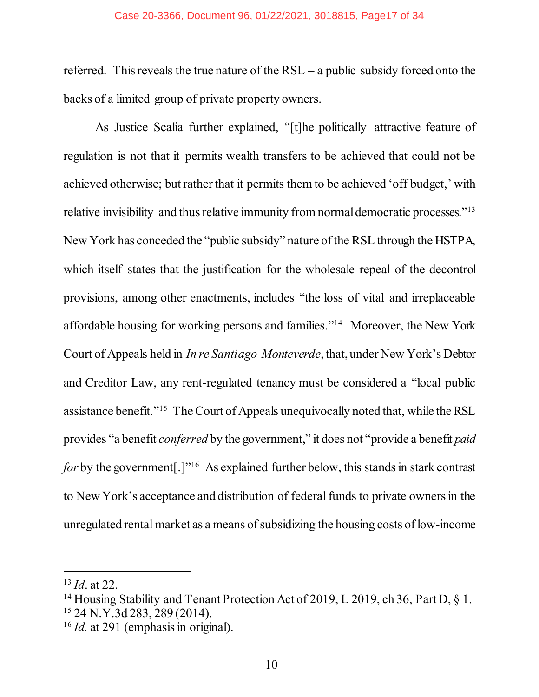### Case 20-3366, Document 96, 01/22/2021, 3018815, Page17 of 34

referred. This reveals the true nature of the RSL – a public subsidy forced onto the backs of a limited group of private property owners.

As Justice Scalia further explained, "[t]he politically attractive feature of regulation is not that it permits wealth transfers to be achieved that could not be achieved otherwise; but rather that it permits them to be achieved 'off budget,' with relative invisibility and thus relative immunity from normal democratic processes."<sup>13</sup> New York has conceded the "public subsidy" nature of the RSL through the HSTPA, which itself states that the justification for the wholesale repeal of the decontrol provisions, among other enactments, includes "the loss of vital and irreplaceable affordable housing for working persons and families."14 Moreover, the New York Court of Appeals held in *In re Santiago-Monteverde*, that, under New York's Debtor and Creditor Law, any rent-regulated tenancy must be considered a "local public assistance benefit."15 The Court of Appeals unequivocally noted that, while the RSL provides "a benefit *conferred* by the government," it does not "provide a benefit *paid for* by the government<sup>[1]</sup><sup>"16</sup> As explained further below, this stands in stark contrast to New York's acceptance and distribution of federal funds to private owners in the unregulated rental market as a means of subsidizing the housing costs of low-income

<sup>13</sup> *Id*. at 22.

<sup>&</sup>lt;sup>14</sup> Housing Stability and Tenant Protection Act of 2019, L 2019, ch 36, Part D, § 1. <sup>15</sup> 24 N.Y.3d 283, 289 (2014).

<sup>16</sup> *Id.* at 291 (emphasis in original).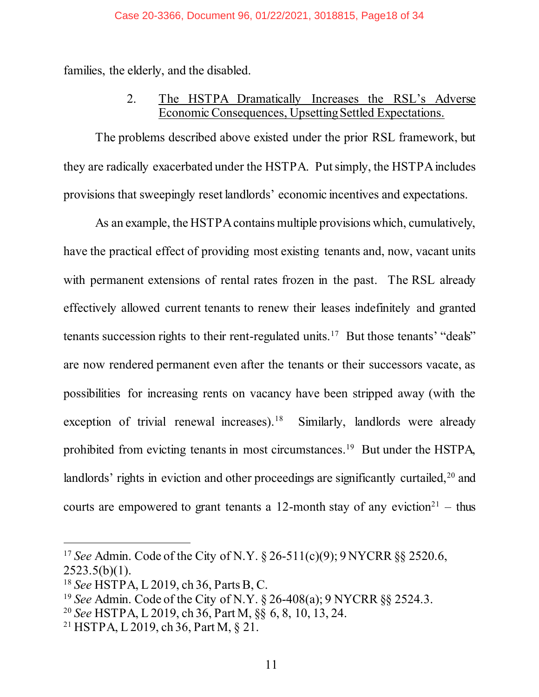### Case 20-3366, Document 96, 01/22/2021, 3018815, Page18 of 34

<span id="page-17-0"></span>families, the elderly, and the disabled.

### 2. The HSTPA Dramatically Increases the RSL's Adverse Economic Consequences, Upsetting Settled Expectations.

The problems described above existed under the prior RSL framework, but they are radically exacerbated under the HSTPA. Put simply, the HSTPA includes provisions that sweepingly reset landlords' economic incentives and expectations.

As an example, the HSTPA contains multiple provisions which, cumulatively, have the practical effect of providing most existing tenants and, now, vacant units with permanent extensions of rental rates frozen in the past. The RSL already effectively allowed current tenants to renew their leases indefinitely and granted tenants succession rights to their rent-regulated units.<sup>17</sup> But those tenants' "deals" are now rendered permanent even after the tenants or their successors vacate, as possibilities for increasing rents on vacancy have been stripped away (with the exception of trivial renewal increases).<sup>18</sup> Similarly, landlords were already prohibited from evicting tenants in most circumstances. <sup>19</sup> But under the HSTPA, landlords' rights in eviction and other proceedings are significantly curtailed,<sup>20</sup> and courts are empowered to grant tenants a 12-month stay of any eviction<sup>21</sup> – thus

<span id="page-17-1"></span><sup>17</sup> *See* Admin. Code of the City of N.Y. § 26-511(c)(9); 9 NYCRR §§ 2520.6,  $2523.5(b)(1)$ .

<sup>18</sup> *See* HSTPA, L 2019, ch 36, Parts B, C.

<sup>19</sup> *See* Admin. Code of the City of N.Y. § 26-408(a); 9 NYCRR §§ 2524.3.

<sup>20</sup> *See* HSTPA, L 2019, ch 36, Part M, §§ 6, 8, 10, 13, 24.

<sup>21</sup> HSTPA, L 2019, ch 36, Part M, § 21.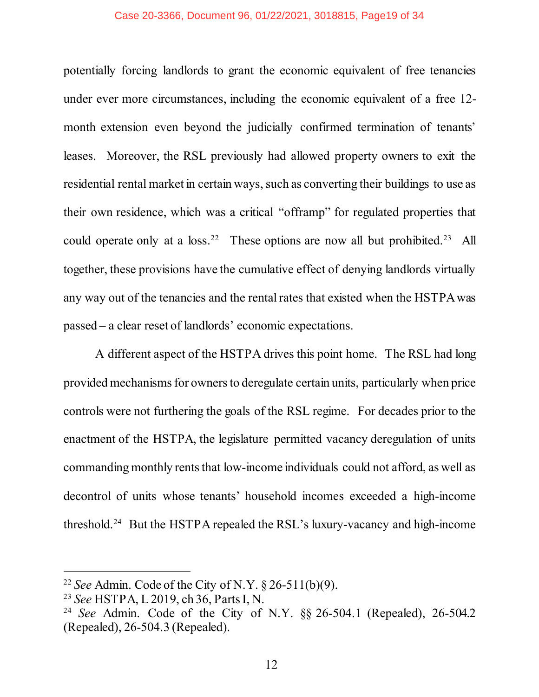### Case 20-3366, Document 96, 01/22/2021, 3018815, Page19 of 34

potentially forcing landlords to grant the economic equivalent of free tenancies under ever more circumstances, including the economic equivalent of a free 12 month extension even beyond the judicially confirmed termination of tenants' leases. Moreover, the RSL previously had allowed property owners to exit the residential rental market in certain ways, such as converting their buildings to use as their own residence, which was a critical "offramp" for regulated properties that could operate only at a  $loss.<sup>22</sup>$  These options are now all but prohibited.<sup>23</sup> All together, these provisions have the cumulative effect of denying landlords virtually any way out of the tenancies and the rental rates that existed when the HSTPA was passed – a clear reset of landlords' economic expectations.

A different aspect of the HSTPA drives this point home. The RSL had long provided mechanisms for owners to deregulate certain units, particularly when price controls were not furthering the goals of the RSL regime. For decades prior to the enactment of the HSTPA, the legislature permitted vacancy deregulation of units commanding monthly rents that low-income individuals could not afford, as well as decontrol of units whose tenants' household incomes exceeded a high-income threshold.24 But the HSTPA repealed the RSL's luxury-vacancy and high-income

<sup>22</sup> *See* Admin. Code of the City of N.Y. § 26-511(b)(9).

<sup>23</sup> *See* HSTPA, L 2019, ch 36, Parts I, N.

<sup>24</sup> *See* Admin. Code of the City of N.Y. §§ 26-504.1 (Repealed), 26-504.2 (Repealed), 26-504.3 (Repealed).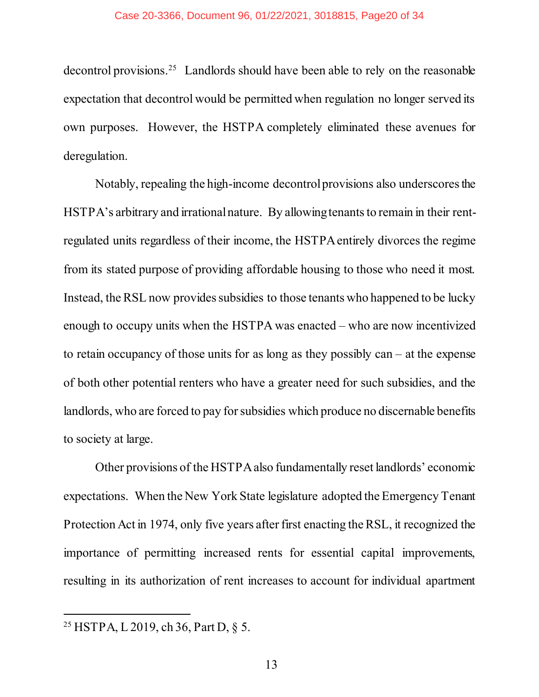decontrol provisions. 25 Landlords should have been able to rely on the reasonable expectation that decontrol would be permitted when regulation no longer served its own purposes. However, the HSTPA completely eliminated these avenues for deregulation.

Notably, repealing the high-income decontrol provisions also underscores the HSTPA's arbitrary and irrational nature. By allowing tenants to remain in their rentregulated units regardless of their income, the HSTPA entirely divorces the regime from its stated purpose of providing affordable housing to those who need it most. Instead, the RSL now provides subsidies to those tenants who happened to be lucky enough to occupy units when the HSTPA was enacted – who are now incentivized to retain occupancy of those units for as long as they possibly can – at the expense of both other potential renters who have a greater need for such subsidies, and the landlords, who are forced to pay for subsidies which produce no discernable benefits to society at large.

Other provisions of the HSTPA also fundamentally reset landlords' economic expectations. When the New York State legislature adopted the Emergency Tenant Protection Act in 1974, only five years after first enacting the RSL, it recognized the importance of permitting increased rents for essential capital improvements, resulting in its authorization of rent increases to account for individual apartment

<sup>25</sup> HSTPA, L 2019, ch 36, Part D, § 5.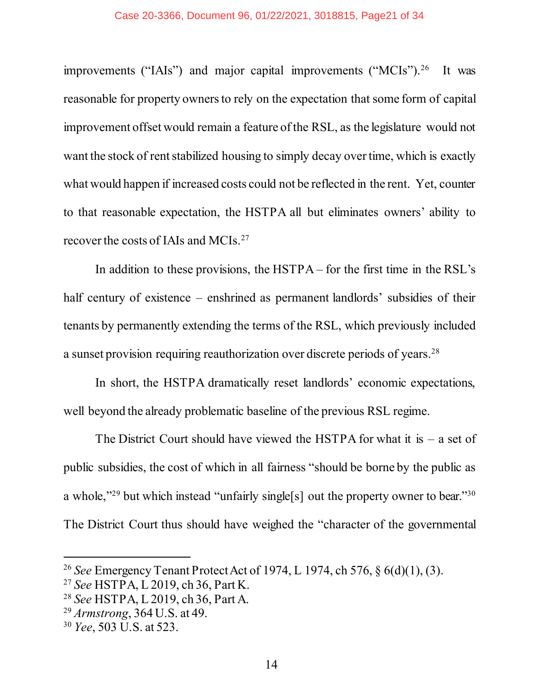improvements ("IAIs") and major capital improvements ("MCIs").<sup>26</sup> It was reasonable for property owners to rely on the expectation that some form of capital improvement offset would remain a feature of the RSL, as the legislature would not want the stock of rent stabilized housing to simply decay over time, which is exactly what would happen if increased costs could not be reflected in the rent. Yet, counter to that reasonable expectation, the HSTPA all but eliminates owners' ability to recover the costs of IAIs and MCIs.27

In addition to these provisions, the HSTPA – for the first time in the RSL's half century of existence – enshrined as permanent landlords' subsidies of their tenants by permanently extending the terms of the RSL, which previously included a sunset provision requiring reauthorization over discrete periods of years.28

In short, the HSTPA dramatically reset landlords' economic expectations, well beyond the already problematic baseline of the previous RSL regime.

The District Court should have viewed the HSTPA for what it is  $-$  a set of public subsidies, the cost of which in all fairness "should be borne by the public as a whole,"<sup>29</sup> but which instead "unfairly single[s] out the property owner to bear."<sup>30</sup> The District Court thus should have weighed the "character of the governmental

<span id="page-20-2"></span><sup>26</sup> *See* Emergency Tenant Protect Act of 1974, L 1974, ch 576, § 6(d)(1), (3).

<sup>27</sup> *See* HSTPA, L 2019, ch 36, Part K.

<sup>28</sup> *See* HSTPA, L 2019, ch 36, Part A.

<span id="page-20-0"></span><sup>29</sup> *Armstrong*, 364 U.S. at 49.

<span id="page-20-1"></span><sup>30</sup> *Yee*, 503 U.S. at 523.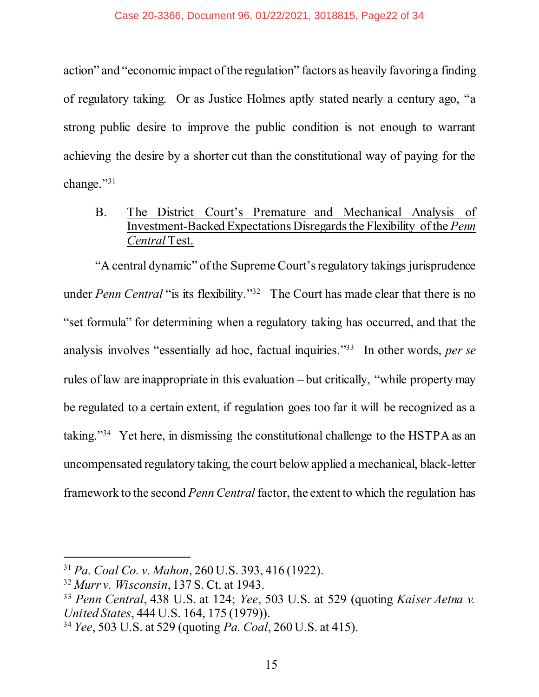action" and "economic impact of the regulation" factors as heavily favoring a finding of regulatory taking. Or as Justice Holmes aptly stated nearly a century ago, "a strong public desire to improve the public condition is not enough to warrant achieving the desire by a shorter cut than the constitutional way of paying for the change."31

<span id="page-21-3"></span><span id="page-21-0"></span>B. The District Court's Premature and Mechanical Analysis of Investment-Backed Expectations Disregards the Flexibility of the *Penn Central* Test.

"A central dynamic" of the Supreme Court's regulatory takings jurisprudence under *Penn Central* "is its flexibility."<sup>32</sup> The Court has made clear that there is no "set formula" for determining when a regulatory taking has occurred, and that the analysis involves "essentially ad hoc, factual inquiries."33 In other words, *per se* rules of law are inappropriate in this evaluation – but critically, "while property may be regulated to a certain extent, if regulation goes too far it will be recognized as a taking."34 Yet here, in dismissing the constitutional challenge to the HSTPA as an uncompensated regulatory taking, the court below applied a mechanical, black-letter framework to the second *Penn Central* factor, the extent to which the regulation has

<span id="page-21-4"></span><span id="page-21-2"></span><sup>31</sup> *Pa. Coal Co. v. Mahon*, 260 U.S. 393, 416 (1922).

<span id="page-21-1"></span><sup>32</sup> *Murr v. Wisconsin*, 137 S. Ct. at 1943.

<sup>33</sup> *Penn Central*, 438 U.S. at 124; *Yee*, 503 U.S. at 529 (quoting *Kaiser Aetna v. United States*, 444 U.S. 164, 175 (1979)).

<sup>34</sup> *Yee*, 503 U.S. at 529 (quoting *Pa. Coal*, 260 U.S. at 415).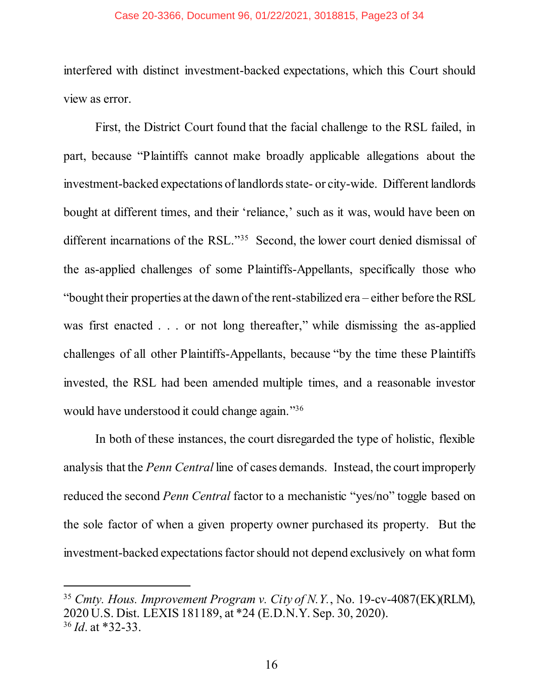### Case 20-3366, Document 96, 01/22/2021, 3018815, Page23 of 34

interfered with distinct investment-backed expectations, which this Court should view as error.

First, the District Court found that the facial challenge to the RSL failed, in part, because "Plaintiffs cannot make broadly applicable allegations about the investment-backed expectations of landlords state- or city-wide. Different landlords bought at different times, and their 'reliance,' such as it was, would have been on different incarnations of the RSL."<sup>35</sup> Second, the lower court denied dismissal of the as-applied challenges of some Plaintiffs-Appellants, specifically those who "bought their properties at the dawn of the rent-stabilized era – either before the RSL was first enacted . . . or not long thereafter," while dismissing the as-applied challenges of all other Plaintiffs-Appellants, because "by the time these Plaintiffs invested, the RSL had been amended multiple times, and a reasonable investor would have understood it could change again."<sup>36</sup>

In both of these instances, the court disregarded the type of holistic, flexible analysis that the *Penn Central* line of cases demands. Instead, the court improperly reduced the second *Penn Central* factor to a mechanistic "yes/no" toggle based on the sole factor of when a given property owner purchased its property. But the investment-backed expectations factor should not depend exclusively on what form

<span id="page-22-0"></span><sup>35</sup> *Cmty. Hous. Improvement Program v. City of N.Y.*, No. 19-cv-4087(EK)(RLM), 2020 U.S. Dist. LEXIS 181189, at \*24 (E.D.N.Y. Sep. 30, 2020). <sup>36</sup> *Id*. at \*32-33.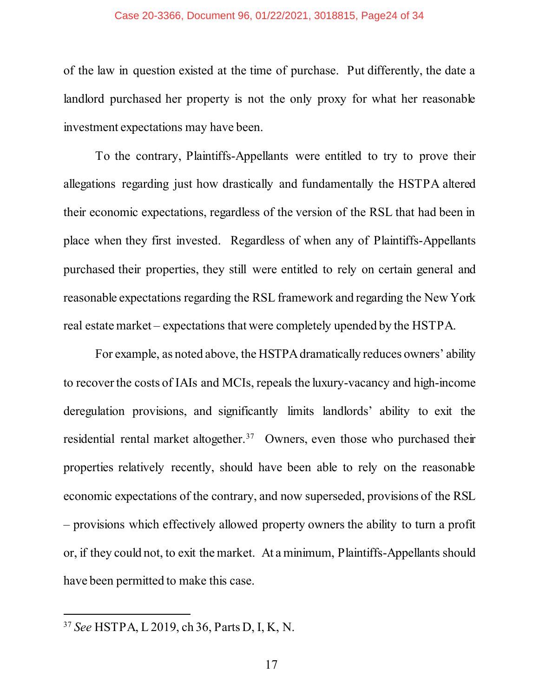### Case 20-3366, Document 96, 01/22/2021, 3018815, Page24 of 34

of the law in question existed at the time of purchase. Put differently, the date a landlord purchased her property is not the only proxy for what her reasonable investment expectations may have been.

To the contrary, Plaintiffs-Appellants were entitled to try to prove their allegations regarding just how drastically and fundamentally the HSTPA altered their economic expectations, regardless of the version of the RSL that had been in place when they first invested. Regardless of when any of Plaintiffs-Appellants purchased their properties, they still were entitled to rely on certain general and reasonable expectations regarding the RSL framework and regarding the New York real estate market – expectations that were completely upended by the HSTPA.

For example, as noted above, the HSTPA dramatically reduces owners' ability to recover the costs of IAIs and MCIs, repeals the luxury-vacancy and high-income deregulation provisions, and significantly limits landlords' ability to exit the residential rental market altogether.<sup>37</sup> Owners, even those who purchased their properties relatively recently, should have been able to rely on the reasonable economic expectations of the contrary, and now superseded, provisions of the RSL – provisions which effectively allowed property owners the ability to turn a profit or, if they could not, to exit the market. At a minimum, Plaintiffs-Appellants should have been permitted to make this case.

<sup>37</sup> *See* HSTPA, L 2019, ch 36, Parts D, I, K, N.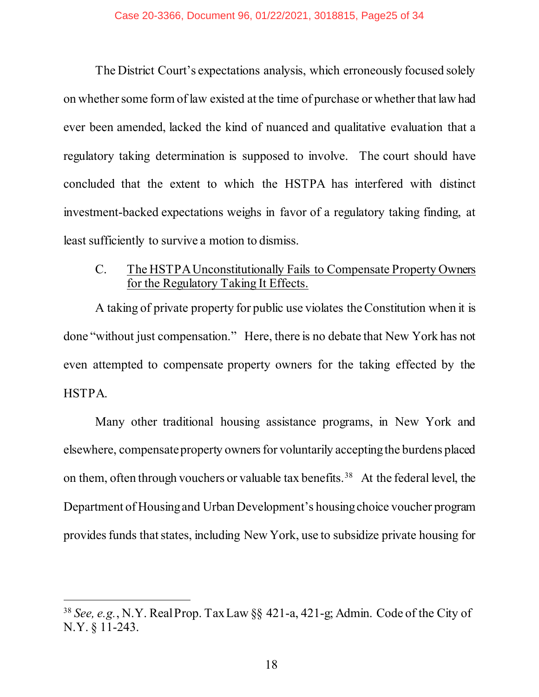The District Court's expectations analysis, which erroneously focused solely on whether some form of law existed at the time of purchase or whether that law had ever been amended, lacked the kind of nuanced and qualitative evaluation that a regulatory taking determination is supposed to involve. The court should have concluded that the extent to which the HSTPA has interfered with distinct investment-backed expectations weighs in favor of a regulatory taking finding, at least sufficiently to survive a motion to dismiss.

### <span id="page-24-0"></span>C. The HSTPAUnconstitutionally Fails to Compensate Property Owners for the Regulatory Taking It Effects.

A taking of private property for public use violates the Constitution when it is done "without just compensation." Here, there is no debate that New York has not even attempted to compensate property owners for the taking effected by the HSTPA.

Many other traditional housing assistance programs, in New York and elsewhere, compensate property owners for voluntarily accepting the burdens placed on them, often through vouchers or valuable tax benefits.<sup>38</sup> At the federal level, the Department of Housing and Urban Development's housing choice voucher program provides funds that states, including New York, use to subsidize private housing for

<span id="page-24-1"></span><sup>38</sup> *See, e.g.*, N.Y. Real Prop. Tax Law §§ 421-a, 421-g; Admin. Code of the City of N.Y. § 11-243.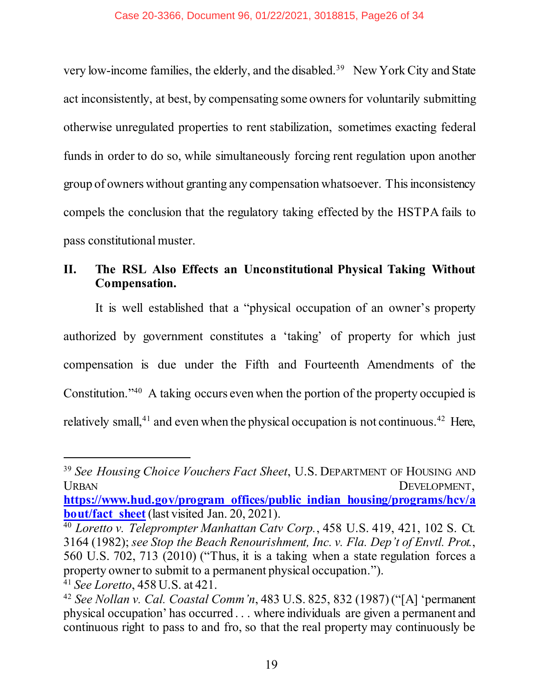very low-income families, the elderly, and the disabled.39 New York City and State act inconsistently, at best, by compensating some owners for voluntarily submitting otherwise unregulated properties to rent stabilization, sometimes exacting federal funds in order to do so, while simultaneously forcing rent regulation upon another group of owners without granting any compensation whatsoever. This inconsistency compels the conclusion that the regulatory taking effected by the HSTPA fails to pass constitutional muster.

## <span id="page-25-0"></span>**II. The RSL Also Effects an Unconstitutional Physical Taking Without Compensation.**

It is well established that a "physical occupation of an owner's property authorized by government constitutes a 'taking' of property for which just compensation is due under the Fifth and Fourteenth Amendments of the Constitution."40 A taking occurs even when the portion of the property occupied is relatively small,<sup>41</sup> and even when the physical occupation is not continuous.<sup>42</sup> Here,

**[https://www.hud.gov/program\\_offices/public\\_indian\\_housing/programs/hcv/a](https://www.hud.gov/program_offices/public_indian_housing/programs/hcv/about/fact_sheet) bout/fact** sheet (last visited Jan. 20, 2021).

<span id="page-25-4"></span><sup>39</sup> *See Housing Choice Vouchers Fact Sheet*, U.S. DEPARTMENT OF HOUSING AND URBAN DEVELOPMENT,

<span id="page-25-3"></span><span id="page-25-1"></span><sup>40</sup> *Loretto v. Teleprompter Manhattan Catv Corp.*, 458 U.S. 419, 421, 102 S. Ct. 3164 (1982); *see Stop the Beach Renourishment, Inc. v. Fla. Dep't of Envtl. Prot.*, 560 U.S. 702, 713 (2010) ("Thus, it is a taking when a state regulation forces a property owner to submit to a permanent physical occupation.").

<sup>41</sup> *See Loretto*, 458 U.S. at 421.

<span id="page-25-2"></span><sup>42</sup> *See Nollan v. Cal. Coastal Comm'n*, 483 U.S. 825, 832 (1987) ("[A] 'permanent physical occupation' has occurred . . . where individuals are given a permanent and continuous right to pass to and fro, so that the real property may continuously be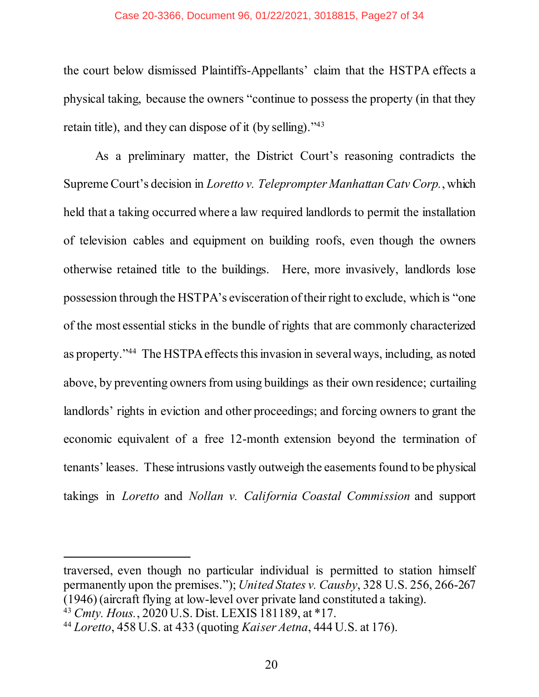### Case 20-3366, Document 96, 01/22/2021, 3018815, Page27 of 34

the court below dismissed Plaintiffs-Appellants' claim that the HSTPA effects a physical taking, because the owners "continue to possess the property (in that they retain title), and they can dispose of it (by selling)."<sup>43</sup>

<span id="page-26-1"></span>As a preliminary matter, the District Court's reasoning contradicts the Supreme Court's decision in *Loretto v. Teleprompter Manhattan Catv Corp.*, which held that a taking occurred where a law required landlords to permit the installation of television cables and equipment on building roofs, even though the owners otherwise retained title to the buildings. Here, more invasively, landlords lose possession through the HSTPA's evisceration of their right to exclude, which is "one of the most essential sticks in the bundle of rights that are commonly characterized as property."44 The HSTPA effects this invasion in several ways, including, as noted above, by preventing owners from using buildings as their own residence; curtailing landlords' rights in eviction and other proceedings; and forcing owners to grant the economic equivalent of a free 12-month extension beyond the termination of tenants' leases. These intrusions vastly outweigh the easements found to be physical takings in *Loretto* and *Nollan v. California Coastal Commission* and support

traversed, even though no particular individual is permitted to station himself permanently upon the premises."); *United States v. Causby*, 328 U.S. 256, 266-267 (1946) (aircraft flying at low-level over private land constituted a taking).

<span id="page-26-0"></span><sup>43</sup> *Cmty. Hous.*, 2020 U.S. Dist. LEXIS 181189, at \*17.

<sup>44</sup> *Loretto*, 458 U.S. at 433 (quoting *Kaiser Aetna*, 444 U.S. at 176).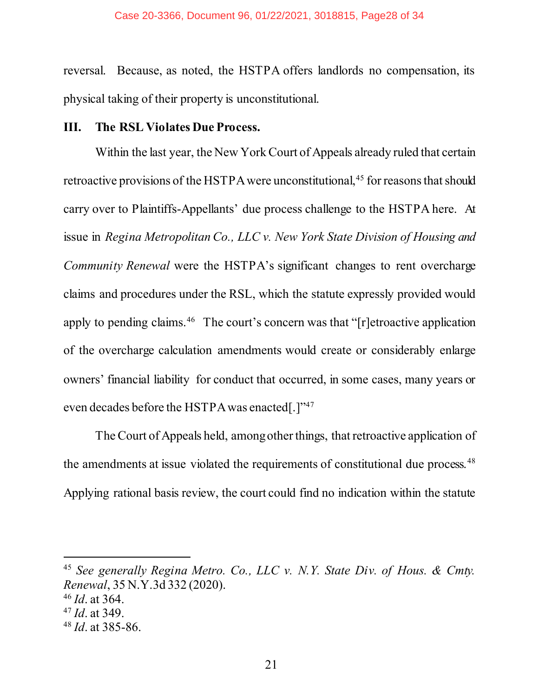reversal. Because, as noted, the HSTPA offers landlords no compensation, its physical taking of their property is unconstitutional.

### <span id="page-27-0"></span>**III. The RSL Violates Due Process.**

Within the last year, the New York Court of Appeals already ruled that certain retroactive provisions of the HSTPA were unconstitutional,<sup>45</sup> for reasons that should carry over to Plaintiffs-Appellants' due process challenge to the HSTPA here. At issue in *Regina Metropolitan Co., LLC v. New York State Division of Housing and Community Renewal* were the HSTPA's significant changes to rent overcharge claims and procedures under the RSL, which the statute expressly provided would apply to pending claims.<sup>46</sup> The court's concern was that "[r]etroactive application of the overcharge calculation amendments would create or considerably enlarge owners' financial liability for conduct that occurred, in some cases, many years or even decades before the HSTPA was enacted[.]"<sup>47</sup>

The Court of Appeals held, among other things, that retroactive application of the amendments at issue violated the requirements of constitutional due process.<sup>48</sup> Applying rational basis review, the court could find no indication within the statute

<span id="page-27-1"></span><sup>45</sup> *See generally Regina Metro. Co., LLC v. N.Y. State Div. of Hous. & Cmty. Renewal*, 35 N.Y.3d 332 (2020).

<sup>46</sup> *Id*. at 364.

<sup>47</sup> *Id*. at 349.

<sup>48</sup> *Id*. at 385-86.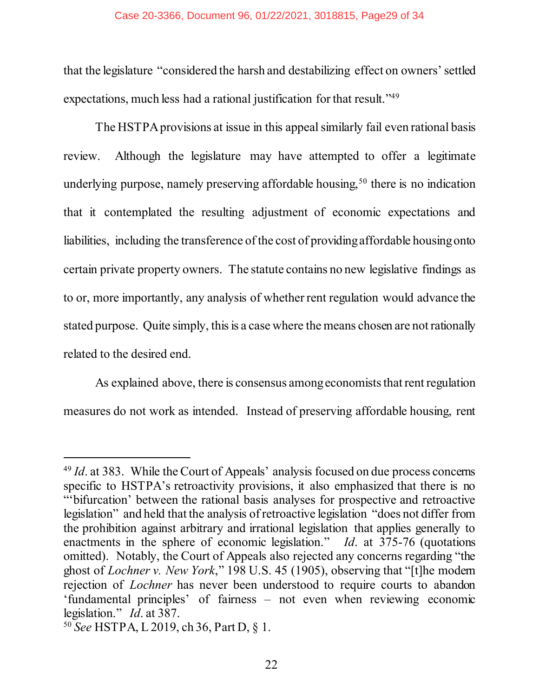that the legislature "considered the harsh and destabilizing effect on owners'settled expectations, much less had a rational justification for that result."<sup>49</sup>

The HSTPA provisions at issue in this appealsimilarly fail even rational basis review. Although the legislature may have attempted to offer a legitimate underlying purpose, namely preserving affordable housing,  $50$  there is no indication that it contemplated the resulting adjustment of economic expectations and liabilities, including the transference of the cost of providing affordable housing onto certain private property owners. The statute contains no new legislative findings as to or, more importantly, any analysis of whether rent regulation would advance the stated purpose. Quite simply, this is a case where the means chosen are not rationally related to the desired end.

As explained above, there is consensus among economists that rent regulation measures do not work as intended. Instead of preserving affordable housing, rent

<span id="page-28-0"></span><sup>49</sup> *Id*. at 383. While the Court of Appeals' analysis focused on due process concerns specific to HSTPA's retroactivity provisions, it also emphasized that there is no "'bifurcation' between the rational basis analyses for prospective and retroactive legislation" and held that the analysis of retroactive legislation "does not differ from the prohibition against arbitrary and irrational legislation that applies generally to enactments in the sphere of economic legislation." *Id*. at 375-76 (quotations omitted). Notably, the Court of Appeals also rejected any concerns regarding "the ghost of *Lochner v. New York*," 198 U.S. 45 (1905), observing that "[t]he modern rejection of *Lochner* has never been understood to require courts to abandon 'fundamental principles' of fairness – not even when reviewing economic legislation." *Id*. at 387.

<sup>50</sup> *See* HSTPA, L 2019, ch 36, Part D, § 1.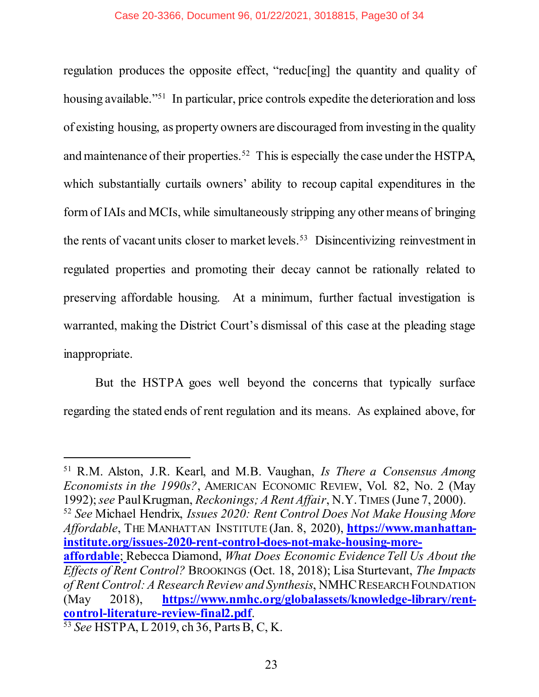regulation produces the opposite effect, "reduc[ing] the quantity and quality of housing available."<sup>51</sup> In particular, price controls expedite the deterioration and loss of existing housing, as property owners are discouraged from investing in the quality and maintenance of their properties.<sup>52</sup> This is especially the case under the HSTPA, which substantially curtails owners' ability to recoup capital expenditures in the form of IAIs and MCIs, while simultaneously stripping any other means of bringing the rents of vacant units closer to market levels. 53 Disincentivizing reinvestment in regulated properties and promoting their decay cannot be rationally related to preserving affordable housing. At a minimum, further factual investigation is warranted, making the District Court's dismissal of this case at the pleading stage inappropriate.

But the HSTPA goes well beyond the concerns that typically surface regarding the stated ends of rent regulation and its means. As explained above, for

<span id="page-29-3"></span><sup>51</sup> R.M. Alston, J.R. Kearl, and M.B. Vaughan, *Is There a Consensus Among Economists in the 1990s?*, AMERICAN ECONOMIC REVIEW, Vol. 82, No. 2 (May 1992); *see* Paul Krugman, *Reckonings; A Rent Affair*, N.Y.TIMES (June 7, 2000).

<span id="page-29-2"></span><span id="page-29-1"></span><sup>52</sup> *See* Michael Hendrix, *Issues 2020: Rent Control Does Not Make Housing More Affordable*, THE MANHATTAN INSTITUTE (Jan. 8, 2020), **[https://www.manhattan](https://www.manhattan-institute.org/issues-2020-rent-control-does-not-make-housing-more-affordable)[institute.org/issues-2020-rent-control-does-not-make-housing-more-](https://www.manhattan-institute.org/issues-2020-rent-control-does-not-make-housing-more-affordable)**

<span id="page-29-4"></span><span id="page-29-0"></span>**[affordable](https://www.manhattan-institute.org/issues-2020-rent-control-does-not-make-housing-more-affordable)**; Rebecca Diamond, *What Does Economic Evidence Tell Us About the Effects of Rent Control?* BROOKINGS (Oct. 18, 2018); Lisa Sturtevant, *The Impacts of Rent Control: A Research Review and Synthesis*, NMHCRESEARCH FOUNDATION (May 2018), **[https://www.nmhc.org/globalassets/knowledge-library/rent](https://www.nmhc.org/globalassets/knowledge-library/rent-control-literature-review-final2.pdf)[control-literature-review-final2.pdf](https://www.nmhc.org/globalassets/knowledge-library/rent-control-literature-review-final2.pdf)**.

<sup>53</sup> *See* HSTPA, L 2019, ch 36, Parts B, C, K.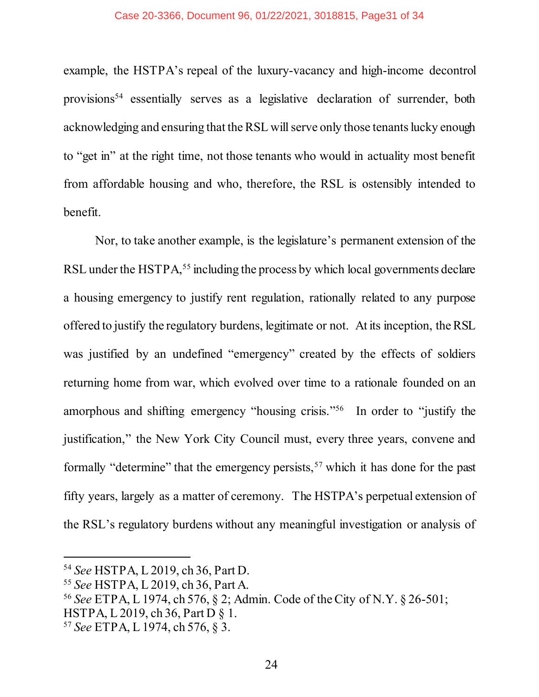### Case 20-3366, Document 96, 01/22/2021, 3018815, Page31 of 34

example, the HSTPA's repeal of the luxury-vacancy and high-income decontrol provisions<sup>54</sup> essentially serves as a legislative declaration of surrender, both acknowledging and ensuring that the RSL will serve only those tenants lucky enough to "get in" at the right time, not those tenants who would in actuality most benefit from affordable housing and who, therefore, the RSL is ostensibly intended to benefit.

Nor, to take another example, is the legislature's permanent extension of the RSL under the HSTPA,<sup>55</sup> including the process by which local governments declare a housing emergency to justify rent regulation, rationally related to any purpose offered to justify the regulatory burdens, legitimate or not. At its inception, the RSL was justified by an undefined "emergency" created by the effects of soldiers returning home from war, which evolved over time to a rationale founded on an amorphous and shifting emergency "housing crisis."56 In order to "justify the justification," the New York City Council must, every three years, convene and formally "determine" that the emergency persists,<sup>57</sup> which it has done for the past fifty years, largely as a matter of ceremony. The HSTPA's perpetual extension of the RSL's regulatory burdens without any meaningful investigation or analysis of

<sup>54</sup> *See* HSTPA, L 2019, ch 36, Part D.

<sup>55</sup> *See* HSTPA, L 2019, ch 36, Part A.

<sup>56</sup> *See* ETPA, L 1974, ch 576, § 2; Admin. Code of the City of N.Y. § 26-501;

HSTPA, L 2019, ch 36, Part D § 1.

<sup>57</sup> *See* ETPA, L 1974, ch 576, § 3.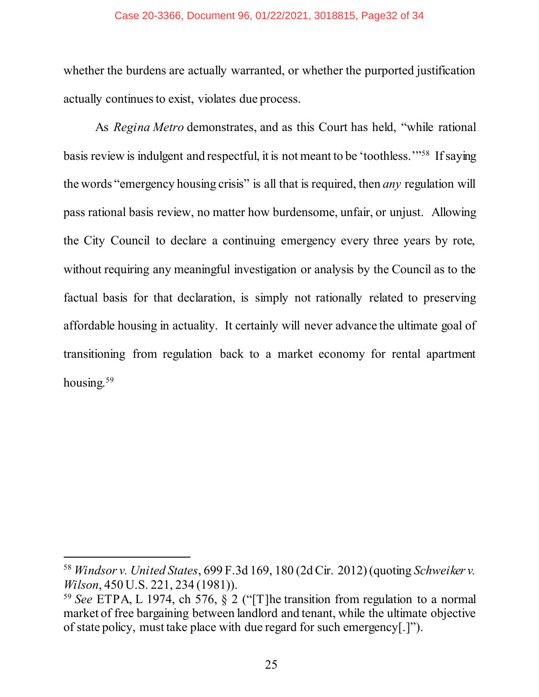### Case 20-3366, Document 96, 01/22/2021, 3018815, Page32 of 34

whether the burdens are actually warranted, or whether the purported justification actually continues to exist, violates due process.

<span id="page-31-0"></span>As *Regina Metro* demonstrates, and as this Court has held, "while rational basis review is indulgent and respectful, it is not meant to be 'toothless.'"58 If saying the words "emergency housing crisis" is all that is required, then *any* regulation will pass rational basis review, no matter how burdensome, unfair, or unjust. Allowing the City Council to declare a continuing emergency every three years by rote, without requiring any meaningful investigation or analysis by the Council as to the factual basis for that declaration, is simply not rationally related to preserving affordable housing in actuality. It certainly will never advance the ultimate goal of transitioning from regulation back to a market economy for rental apartment housing.<sup>59</sup>

<span id="page-31-1"></span><sup>58</sup> *Windsor v. United States*, 699 F.3d 169, 180 (2d Cir. 2012) (quoting *Schweiker v. Wilson*, 450 U.S. 221, 234 (1981)).

<sup>59</sup> *See* ETPA, L 1974, ch 576, § 2 ("[T]he transition from regulation to a normal market of free bargaining between landlord and tenant, while the ultimate objective of state policy, must take place with due regard for such emergency[.]").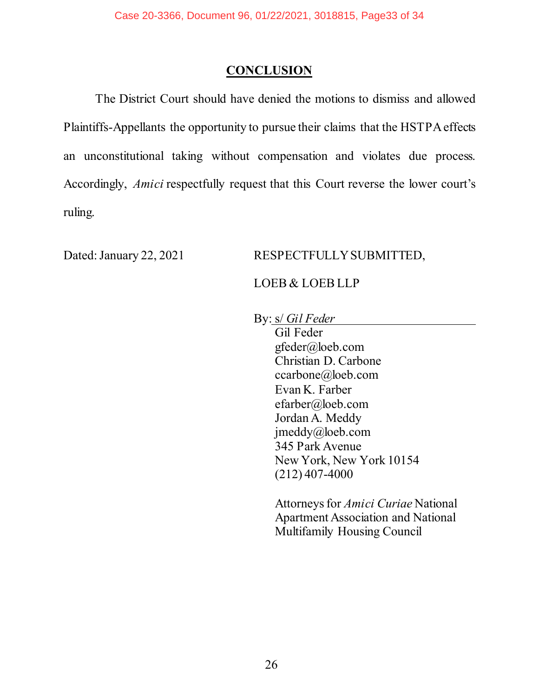### **CONCLUSION**

<span id="page-32-0"></span>The District Court should have denied the motions to dismiss and allowed Plaintiffs-Appellants the opportunity to pursue their claims that the HSTPA effects an unconstitutional taking without compensation and violates due process. Accordingly, *Amici* respectfully request that this Court reverse the lower court's ruling.

### Dated: January 22, 2021 RESPECTFULLY SUBMITTED,

### LOEB & LOEB LLP

By: s/ *Gil Feder*

Gil Feder gfeder@loeb.com Christian D. Carbone ccarbone@loeb.com Evan K. Farber efarber@loeb.com Jordan A. Meddy jmeddy@loeb.com 345 Park Avenue New York, New York 10154 (212) 407-4000

Attorneys for *Amici Curiae* National Apartment Association and National Multifamily Housing Council